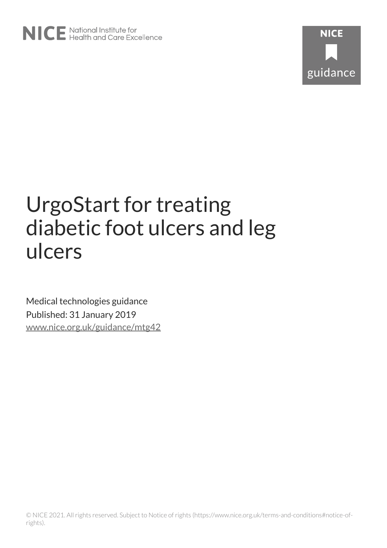

# UrgoStart for treating diabetic foot ulcers and leg ulcers

Medical technologies guidance Published: 31 January 2019 [www.nice.org.uk/guidance/mtg42](https://www.nice.org.uk/guidance/mtg42)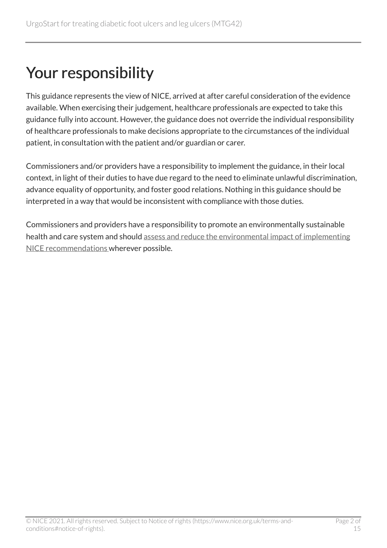## Your responsibility

This guidance represents the view of NICE, arrived at after careful consideration of the evidence available. When exercising their judgement, healthcare professionals are expected to take this guidance fully into account. However, the guidance does not override the individual responsibility of healthcare professionals to make decisions appropriate to the circumstances of the individual patient, in consultation with the patient and/or guardian or carer.

Commissioners and/or providers have a responsibility to implement the guidance, in their local context, in light of their duties to have due regard to the need to eliminate unlawful discrimination, advance equality of opportunity, and foster good relations. Nothing in this guidance should be interpreted in a way that would be inconsistent with compliance with those duties.

Commissioners and providers have a responsibility to promote an environmentally sustainable health and care system and should [assess and reduce the environmental impact of implementing](https://www.nice.org.uk/about/who-we-are/sustainability)  [NICE recommendations w](https://www.nice.org.uk/about/who-we-are/sustainability)herever possible.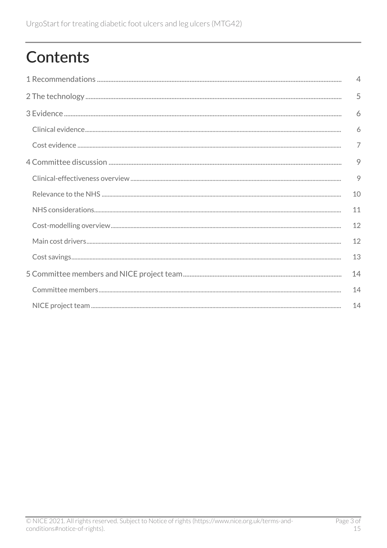## **Contents**

| $\overline{4}$ |
|----------------|
| 5              |
| 6              |
| 6              |
| $\overline{7}$ |
| 9              |
| 9              |
| 10             |
| 11             |
| 12             |
| 12             |
| 13             |
| 14             |
| 14             |
| 14             |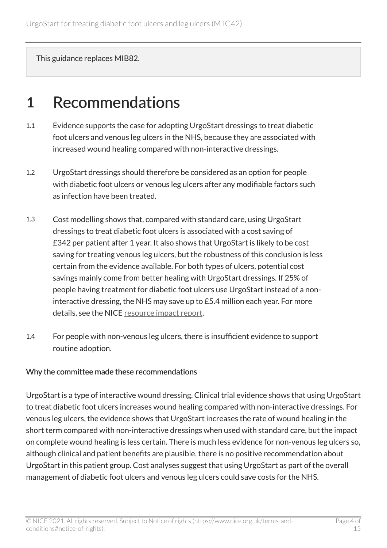This guidance replaces MIB82.

### <span id="page-3-0"></span>1 Recommendations

- 1.1 Evidence supports the case for adopting UrgoStart dressings to treat diabetic foot ulcers and venous leg ulcers in the NHS, because they are associated with increased wound healing compared with non-interactive dressings.
- 1.2 UrgoStart dressings should therefore be considered as an option for people with diabetic foot ulcers or venous leg ulcers after any modifiable factors such as infection have been treated.
- 1.3 Cost modelling shows that, compared with standard care, using UrgoStart dressings to treat diabetic foot ulcers is associated with a cost saving of £342 per patient after 1 year. It also shows that UrgoStart is likely to be cost saving for treating venous leg ulcers, but the robustness of this conclusion is less certain from the evidence available. For both types of ulcers, potential cost savings mainly come from better healing with UrgoStart dressings. If 25% of people having treatment for diabetic foot ulcers use UrgoStart instead of a noninteractive dressing, the NHS may save up to £5.4 million each year. For more details, see the NICE [resource impact report.](http://www.nice.org.uk/guidance/MTG42/resources)
- 1.4 For people with non-venous leg ulcers, there is insufficient evidence to support routine adoption.

#### Why the committee made these recommendations

UrgoStart is a type of interactive wound dressing. Clinical trial evidence shows that using UrgoStart to treat diabetic foot ulcers increases wound healing compared with non-interactive dressings. For venous leg ulcers, the evidence shows that UrgoStart increases the rate of wound healing in the short term compared with non-interactive dressings when used with standard care, but the impact on complete wound healing is less certain. There is much less evidence for non-venous leg ulcers so, although clinical and patient benefits are plausible, there is no positive recommendation about UrgoStart in this patient group. Cost analyses suggest that using UrgoStart as part of the overall management of diabetic foot ulcers and venous leg ulcers could save costs for the NHS.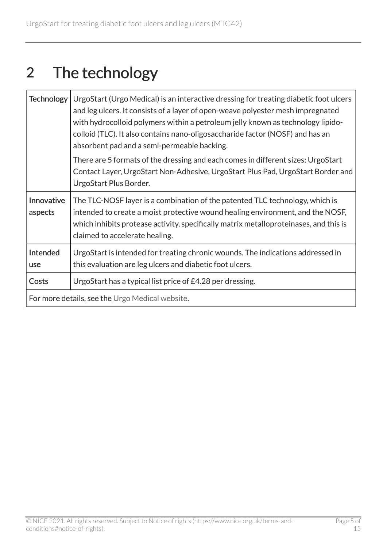## <span id="page-4-0"></span>2 The technology

| <b>Technology</b>                               | UrgoStart (Urgo Medical) is an interactive dressing for treating diabetic foot ulcers<br>and leg ulcers. It consists of a layer of open-weave polyester mesh impregnated<br>with hydrocolloid polymers within a petroleum jelly known as technology lipido-<br>colloid (TLC). It also contains nano-oligosaccharide factor (NOSF) and has an<br>absorbent pad and a semi-permeable backing. |  |
|-------------------------------------------------|---------------------------------------------------------------------------------------------------------------------------------------------------------------------------------------------------------------------------------------------------------------------------------------------------------------------------------------------------------------------------------------------|--|
|                                                 | There are 5 formats of the dressing and each comes in different sizes: UrgoStart<br>Contact Layer, UrgoStart Non-Adhesive, UrgoStart Plus Pad, UrgoStart Border and<br>UrgoStart Plus Border.                                                                                                                                                                                               |  |
| Innovative<br>aspects                           | The TLC-NOSF layer is a combination of the patented TLC technology, which is<br>intended to create a moist protective wound healing environment, and the NOSF,<br>which inhibits protease activity, specifically matrix metalloproteinases, and this is<br>claimed to accelerate healing.                                                                                                   |  |
| Intended<br>use                                 | UrgoStart is intended for treating chronic wounds. The indications addressed in<br>this evaluation are leg ulcers and diabetic foot ulcers.                                                                                                                                                                                                                                                 |  |
| Costs                                           | UrgoStart has a typical list price of £4.28 per dressing.                                                                                                                                                                                                                                                                                                                                   |  |
| For more details, see the Urgo Medical website. |                                                                                                                                                                                                                                                                                                                                                                                             |  |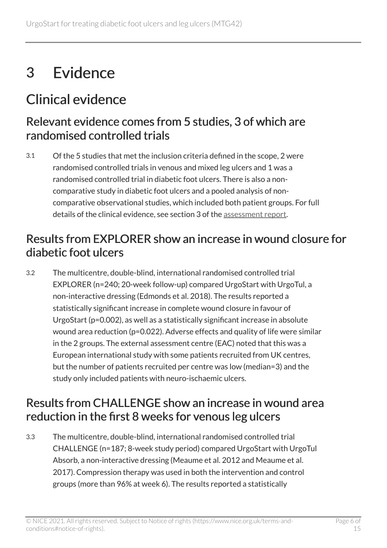## <span id="page-5-0"></span>3 Evidence

### <span id="page-5-1"></span>Clinical evidence

#### Relevant evidence comes from 5 studies, 3 of which are randomised controlled trials

3.1 Of the 5 studies that met the inclusion criteria defined in the scope, 2 were randomised controlled trials in venous and mixed leg ulcers and 1 was a randomised controlled trial in diabetic foot ulcers. There is also a noncomparative study in diabetic foot ulcers and a pooled analysis of noncomparative observational studies, which included both patient groups. For full details of the clinical evidence, see section 3 of the [assessment report.](http://www.nice.org.uk/guidance/MTG42/history)

#### Results from EXPLORER show an increase in wound closure for diabetic foot ulcers

3.2 The multicentre, double-blind, international randomised controlled trial EXPLORER (n=240; 20-week follow-up) compared UrgoStart with UrgoTul, a non-interactive dressing (Edmonds et al. 2018). The results reported a statistically significant increase in complete wound closure in favour of UrgoStart (p=0.002), as well as a statistically significant increase in absolute wound area reduction (p=0.022). Adverse effects and quality of life were similar in the 2 groups. The external assessment centre (EAC) noted that this was a European international study with some patients recruited from UK centres, but the number of patients recruited per centre was low (median=3) and the study only included patients with neuro-ischaemic ulcers.

#### Results from CHALLENGE show an increase in wound area reduction in the first 8 weeks for venous leg ulcers

3.3 The multicentre, double-blind, international randomised controlled trial CHALLENGE (n=187; 8-week study period) compared UrgoStart with UrgoTul Absorb, a non-interactive dressing (Meaume et al. 2012 and Meaume et al. 2017). Compression therapy was used in both the intervention and control groups (more than 96% at week 6). The results reported a statistically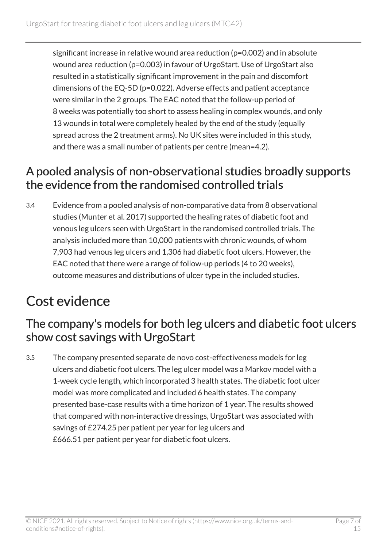significant increase in relative wound area reduction (p=0.002) and in absolute wound area reduction (p=0.003) in favour of UrgoStart. Use of UrgoStart also resulted in a statistically significant improvement in the pain and discomfort dimensions of the EQ-5D (p=0.022). Adverse effects and patient acceptance were similar in the 2 groups. The EAC noted that the follow-up period of 8 weeks was potentially too short to assess healing in complex wounds, and only 13 wounds in total were completely healed by the end of the study (equally spread across the 2 treatment arms). No UK sites were included in this study, and there was a small number of patients per centre (mean=4.2).

#### A pooled analysis of non-observational studies broadly supports the evidence from the randomised controlled trials

3.4 Evidence from a pooled analysis of non-comparative data from 8 observational studies (Munter et al. 2017) supported the healing rates of diabetic foot and venous leg ulcers seen with UrgoStart in the randomised controlled trials. The analysis included more than 10,000 patients with chronic wounds, of whom 7,903 had venous leg ulcers and 1,306 had diabetic foot ulcers. However, the EAC noted that there were a range of follow-up periods (4 to 20 weeks), outcome measures and distributions of ulcer type in the included studies.

## <span id="page-6-0"></span>Cost evidence

#### The company's models for both leg ulcers and diabetic foot ulcers show cost savings with UrgoStart

3.5 The company presented separate de novo cost-effectiveness models for leg ulcers and diabetic foot ulcers. The leg ulcer model was a Markov model with a 1-week cycle length, which incorporated 3 health states. The diabetic foot ulcer model was more complicated and included 6 health states. The company presented base-case results with a time horizon of 1 year. The results showed that compared with non-interactive dressings, UrgoStart was associated with savings of £274.25 per patient per year for leg ulcers and £666.51 per patient per year for diabetic foot ulcers.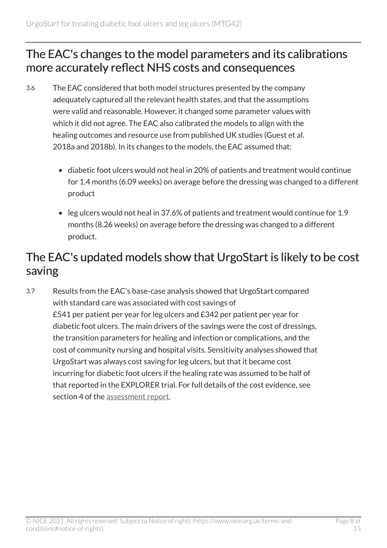#### The EAC's changes to the model parameters and its calibrations more accurately reflect NHS costs and consequences

- 3.6 The EAC considered that both model structures presented by the company adequately captured all the relevant health states, and that the assumptions were valid and reasonable. However, it changed some parameter values with which it did not agree. The EAC also calibrated the models to align with the healing outcomes and resource use from published UK studies (Guest et al. 2018a and 2018b). In its changes to the models, the EAC assumed that:
	- diabetic foot ulcers would not heal in 20% of patients and treatment would continue for 1.4 months (6.09 weeks) on average before the dressing was changed to a different product
	- leg ulcers would not heal in 37.6% of patients and treatment would continue for 1.9 months (8.26 weeks) on average before the dressing was changed to a different product.

#### The EAC's updated models show that UrgoStart is likely to be cost saving

3.7 Results from the EAC's base-case analysis showed that UrgoStart compared with standard care was associated with cost savings of £541 per patient per year for leg ulcers and £342 per patient per year for diabetic foot ulcers. The main drivers of the savings were the cost of dressings, the transition parameters for healing and infection or complications, and the cost of community nursing and hospital visits. Sensitivity analyses showed that UrgoStart was always cost saving for leg ulcers, but that it became cost incurring for diabetic foot ulcers if the healing rate was assumed to be half of that reported in the EXPLORER trial. For full details of the cost evidence, see section 4 of the [assessment report](http://www.nice.org.uk/guidance/MTG42/history).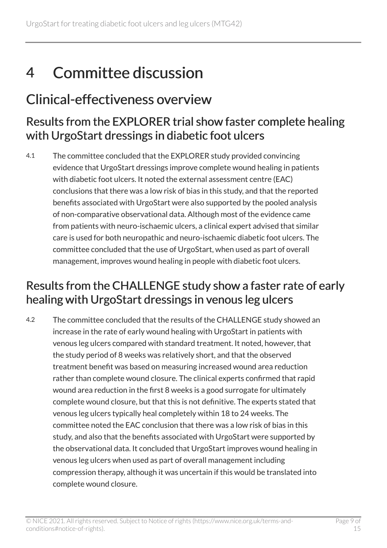## <span id="page-8-0"></span>4 Committee discussion

### <span id="page-8-1"></span>Clinical-effectiveness overview

#### Results from the EXPLORER trial show faster complete healing with UrgoStart dressings in diabetic foot ulcers

4.1 The committee concluded that the EXPLORER study provided convincing evidence that UrgoStart dressings improve complete wound healing in patients with diabetic foot ulcers. It noted the external assessment centre (EAC) conclusions that there was a low risk of bias in this study, and that the reported benefits associated with UrgoStart were also supported by the pooled analysis of non-comparative observational data. Although most of the evidence came from patients with neuro-ischaemic ulcers, a clinical expert advised that similar care is used for both neuropathic and neuro-ischaemic diabetic foot ulcers. The committee concluded that the use of UrgoStart, when used as part of overall management, improves wound healing in people with diabetic foot ulcers.

#### Results from the CHALLENGE study show a faster rate of early healing with UrgoStart dressings in venous leg ulcers

4.2 The committee concluded that the results of the CHALLENGE study showed an increase in the rate of early wound healing with UrgoStart in patients with venous leg ulcers compared with standard treatment. It noted, however, that the study period of 8 weeks was relatively short, and that the observed treatment benefit was based on measuring increased wound area reduction rather than complete wound closure. The clinical experts confirmed that rapid wound area reduction in the first 8 weeks is a good surrogate for ultimately complete wound closure, but that this is not definitive. The experts stated that venous leg ulcers typically heal completely within 18 to 24 weeks. The committee noted the EAC conclusion that there was a low risk of bias in this study, and also that the benefits associated with UrgoStart were supported by the observational data. It concluded that UrgoStart improves wound healing in venous leg ulcers when used as part of overall management including compression therapy, although it was uncertain if this would be translated into complete wound closure.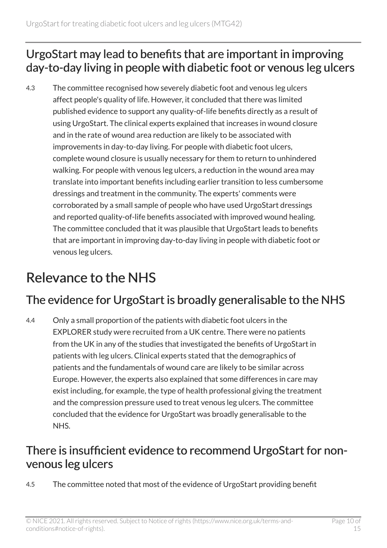#### UrgoStart may lead to benefits that are important in improving day-to-day living in people with diabetic foot or venous leg ulcers

4.3 The committee recognised how severely diabetic foot and venous leg ulcers affect people's quality of life. However, it concluded that there was limited published evidence to support any quality-of-life benefits directly as a result of using UrgoStart. The clinical experts explained that increases in wound closure and in the rate of wound area reduction are likely to be associated with improvements in day-to-day living. For people with diabetic foot ulcers, complete wound closure is usually necessary for them to return to unhindered walking. For people with venous leg ulcers, a reduction in the wound area may translate into important benefits including earlier transition to less cumbersome dressings and treatment in the community. The experts' comments were corroborated by a small sample of people who have used UrgoStart dressings and reported quality-of-life benefits associated with improved wound healing. The committee concluded that it was plausible that UrgoStart leads to benefits that are important in improving day-to-day living in people with diabetic foot or venous leg ulcers.

### <span id="page-9-0"></span>Relevance to the NHS

### The evidence for UrgoStart is broadly generalisable to the NHS

4.4 Only a small proportion of the patients with diabetic foot ulcers in the EXPLORER study were recruited from a UK centre. There were no patients from the UK in any of the studies that investigated the benefits of UrgoStart in patients with leg ulcers. Clinical experts stated that the demographics of patients and the fundamentals of wound care are likely to be similar across Europe. However, the experts also explained that some differences in care may exist including, for example, the type of health professional giving the treatment and the compression pressure used to treat venous leg ulcers. The committee concluded that the evidence for UrgoStart was broadly generalisable to the NHS.

#### There is insufficient evidence to recommend UrgoStart for nonvenous leg ulcers

4.5 The committee noted that most of the evidence of UrgoStart providing benefit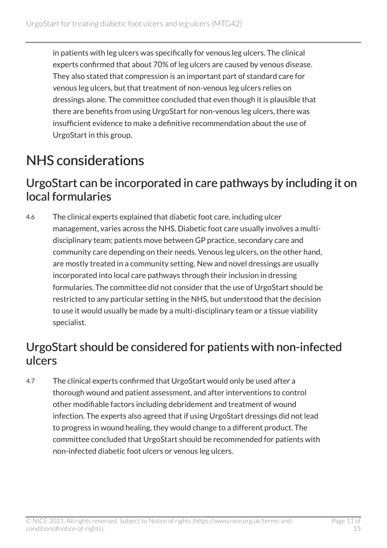in patients with leg ulcers was specifically for venous leg ulcers. The clinical experts confirmed that about 70% of leg ulcers are caused by venous disease. They also stated that compression is an important part of standard care for venous leg ulcers, but that treatment of non-venous leg ulcers relies on dressings alone. The committee concluded that even though it is plausible that there are benefits from using UrgoStart for non-venous leg ulcers, there was insufficient evidence to make a definitive recommendation about the use of UrgoStart in this group.

### <span id="page-10-0"></span>NHS considerations

#### UrgoStart can be incorporated in care pathways by including it on local formularies

4.6 The clinical experts explained that diabetic foot care, including ulcer management, varies across the NHS. Diabetic foot care usually involves a multidisciplinary team; patients move between GP practice, secondary care and community care depending on their needs. Venous leg ulcers, on the other hand, are mostly treated in a community setting. New and novel dressings are usually incorporated into local care pathways through their inclusion in dressing formularies. The committee did not consider that the use of UrgoStart should be restricted to any particular setting in the NHS, but understood that the decision to use it would usually be made by a multi-disciplinary team or a tissue viability specialist.

#### UrgoStart should be considered for patients with non-infected ulcers

4.7 The clinical experts confirmed that UrgoStart would only be used after a thorough wound and patient assessment, and after interventions to control other modifiable factors including debridement and treatment of wound infection. The experts also agreed that if using UrgoStart dressings did not lead to progress in wound healing, they would change to a different product. The committee concluded that UrgoStart should be recommended for patients with non-infected diabetic foot ulcers or venous leg ulcers.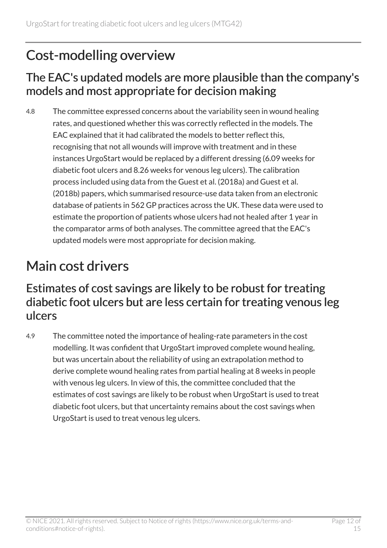### <span id="page-11-0"></span>Cost-modelling overview

#### The EAC's updated models are more plausible than the company's models and most appropriate for decision making

4.8 The committee expressed concerns about the variability seen in wound healing rates, and questioned whether this was correctly reflected in the models. The EAC explained that it had calibrated the models to better reflect this, recognising that not all wounds will improve with treatment and in these instances UrgoStart would be replaced by a different dressing (6.09 weeks for diabetic foot ulcers and 8.26 weeks for venous leg ulcers). The calibration process included using data from the Guest et al. (2018a) and Guest et al. (2018b) papers, which summarised resource-use data taken from an electronic database of patients in 562 GP practices across the UK. These data were used to estimate the proportion of patients whose ulcers had not healed after 1 year in the comparator arms of both analyses. The committee agreed that the EAC's updated models were most appropriate for decision making.

### <span id="page-11-1"></span>Main cost drivers

#### Estimates of cost savings are likely to be robust for treating diabetic foot ulcers but are less certain for treating venous leg ulcers

4.9 The committee noted the importance of healing-rate parameters in the cost modelling. It was confident that UrgoStart improved complete wound healing, but was uncertain about the reliability of using an extrapolation method to derive complete wound healing rates from partial healing at 8 weeks in people with venous leg ulcers. In view of this, the committee concluded that the estimates of cost savings are likely to be robust when UrgoStart is used to treat diabetic foot ulcers, but that uncertainty remains about the cost savings when UrgoStart is used to treat venous leg ulcers.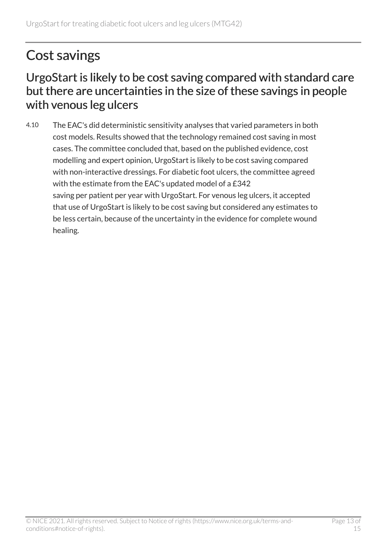### <span id="page-12-0"></span>Cost savings

#### UrgoStart is likely to be cost saving compared with standard care but there are uncertainties in the size of these savings in people with venous leg ulcers

4.10 The EAC's did deterministic sensitivity analyses that varied parameters in both cost models. Results showed that the technology remained cost saving in most cases. The committee concluded that, based on the published evidence, cost modelling and expert opinion, UrgoStart is likely to be cost saving compared with non-interactive dressings. For diabetic foot ulcers, the committee agreed with the estimate from the EAC's updated model of a £342 saving per patient per year with UrgoStart. For venous leg ulcers, it accepted that use of UrgoStart is likely to be cost saving but considered any estimates to be less certain, because of the uncertainty in the evidence for complete wound healing.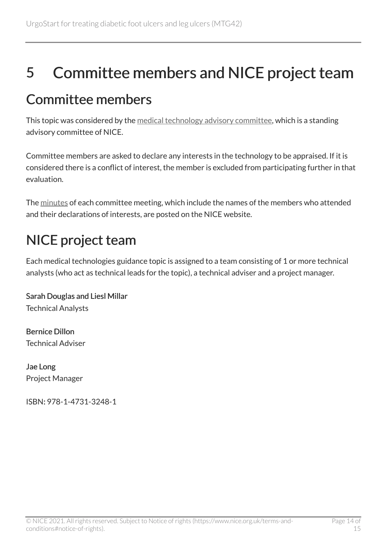## <span id="page-13-0"></span>5 Committee members and NICE project team

### <span id="page-13-1"></span>Committee members

This topic was considered by the [medical technology advisory committee,](https://www.nice.org.uk/Get-Involved/Meetings-in-public/Medical-Technologies-Advisory-Committee/Members) which is a standing advisory committee of NICE.

Committee members are asked to declare any interests in the technology to be appraised. If it is considered there is a conflict of interest, the member is excluded from participating further in that evaluation.

The [minutes](https://www.nice.org.uk/get-involved/meetings-in-public/medical-technologies-advisory-committee) of each committee meeting, which include the names of the members who attended and their declarations of interests, are posted on the NICE website.

### <span id="page-13-2"></span>NICE project team

Each medical technologies guidance topic is assigned to a team consisting of 1 or more technical analysts (who act as technical leads for the topic), a technical adviser and a project manager.

Sarah Douglas and Liesl Millar Technical Analysts

Bernice Dillon Technical Adviser

Jae Long Project Manager

ISBN: 978-1-4731-3248-1